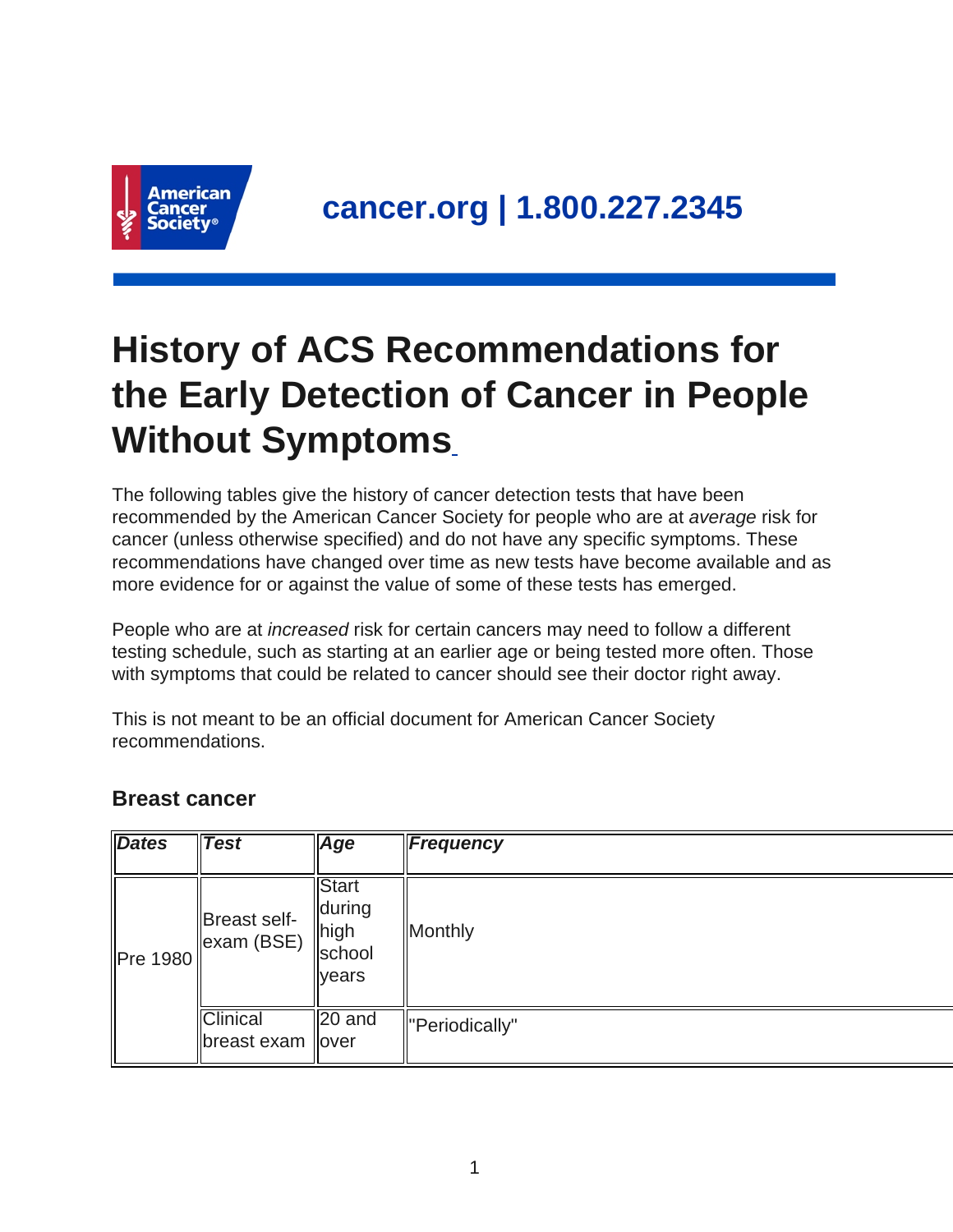

# **History of ACS Recommendations for the Early Detection of Cancer in People Without Symptoms**

The following tables give the history of cancer detection tests that have been recommended by the American Cancer Society for people who are at average risk for cancer (unless otherwise specified) and do not have any specific symptoms. These recommendations have changed over time as new tests have become available and as more evidence for or against the value of some of these tests has emerged.

People who are at increased risk for certain cancers may need to follow a different testing schedule, such as starting at an earlier age or being tested more often. Those with symptoms that could be related to cancer should see their doctor right away.

This is not meant to be an official document for American Cancer Society recommendations.

#### **Breast cancer**

| <b>Dates</b> | <b>Test</b>                            | Age                                                         | Frequency      |
|--------------|----------------------------------------|-------------------------------------------------------------|----------------|
| Pre 1980     | Breast self-<br>$\parallel$ exam (BSE) | Start<br><b>during</b><br>  high<br>school<br><b>Ivears</b> | Monthly        |
|              | <b>Clinical</b><br>∥breast exam ∥over  | 20 and                                                      | "Periodically" |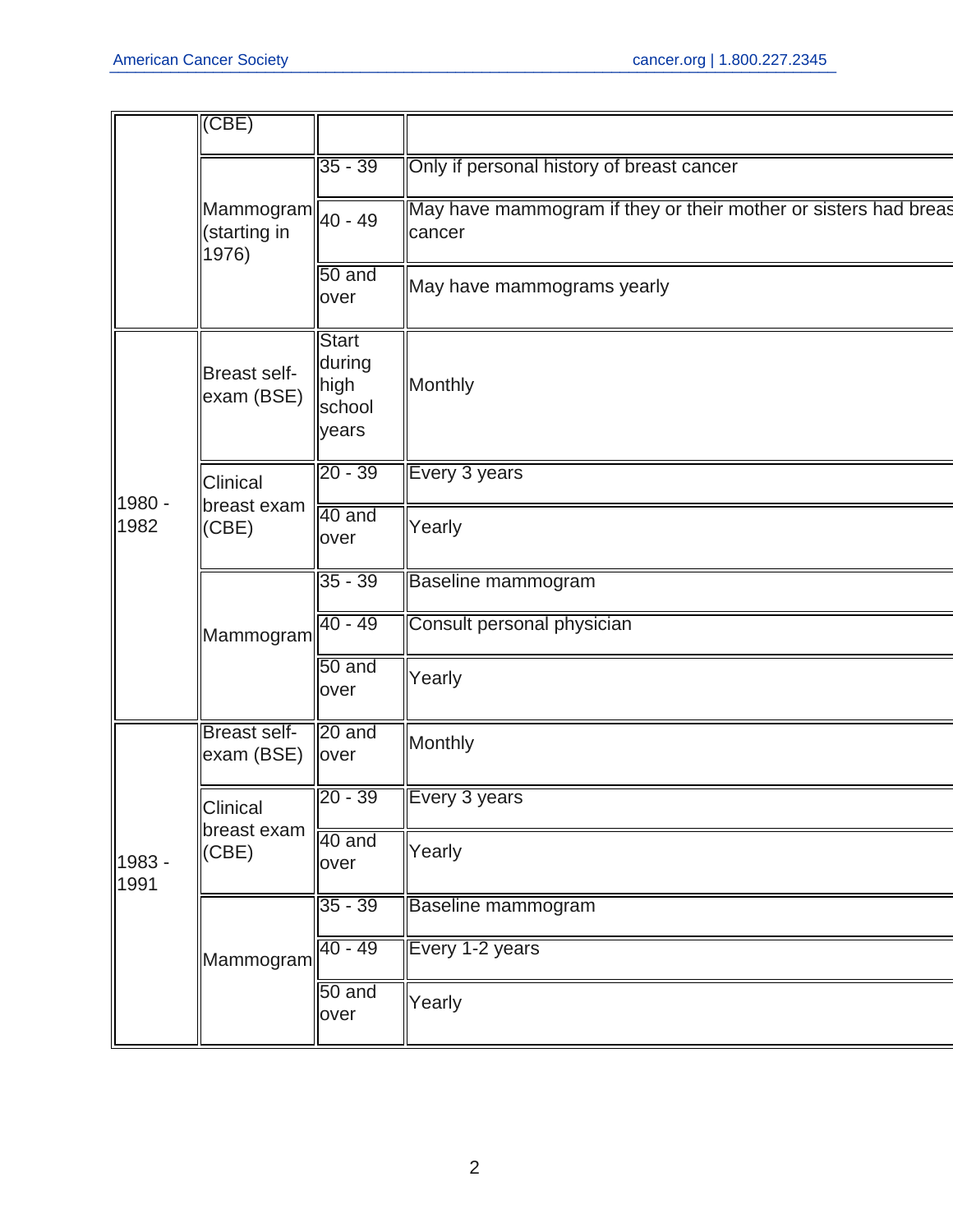|                | (CBE)                               |                                                   |                                                                           |
|----------------|-------------------------------------|---------------------------------------------------|---------------------------------------------------------------------------|
|                |                                     | $35 - 39$                                         | Only if personal history of breast cancer                                 |
|                | Mammogram <br>(starting in<br>1976) | 40 - 49                                           | May have mammogram if they or their mother or sisters had breas<br>cancer |
|                |                                     | 50 and<br>over                                    | May have mammograms yearly                                                |
|                | <b>Breast self-</b><br>exam (BSE)   | <b>Start</b><br>during<br>high<br>school<br>years | Monthly                                                                   |
|                | <b>Clinical</b>                     | $20 - 39$                                         | Every 3 years                                                             |
| 1980 -<br>1982 | breast exam<br>(CBE)                | 40 and<br>over                                    | Yearly                                                                    |
|                | Mammogram                           | $35 - 39$                                         | Baseline mammogram                                                        |
|                |                                     | $40 - 49$                                         | Consult personal physician                                                |
|                |                                     | 50 and<br>over                                    | Yearly                                                                    |
|                | <b>Breast self-</b><br>exam (BSE)   | $\sqrt{20}$ and<br>lover                          | Monthly                                                                   |
| 1983 -<br>1991 | Clinical<br>breast exam<br>(CBE)    | $20 - 39$                                         | Every 3 years                                                             |
|                |                                     | 40 and<br>over                                    | Yearly                                                                    |
|                |                                     | $35 - 39$                                         | Baseline mammogram                                                        |
|                | Mammogram                           | $40 - 49$                                         | Every 1-2 years                                                           |
|                |                                     | 50 and<br>over                                    | Yearly                                                                    |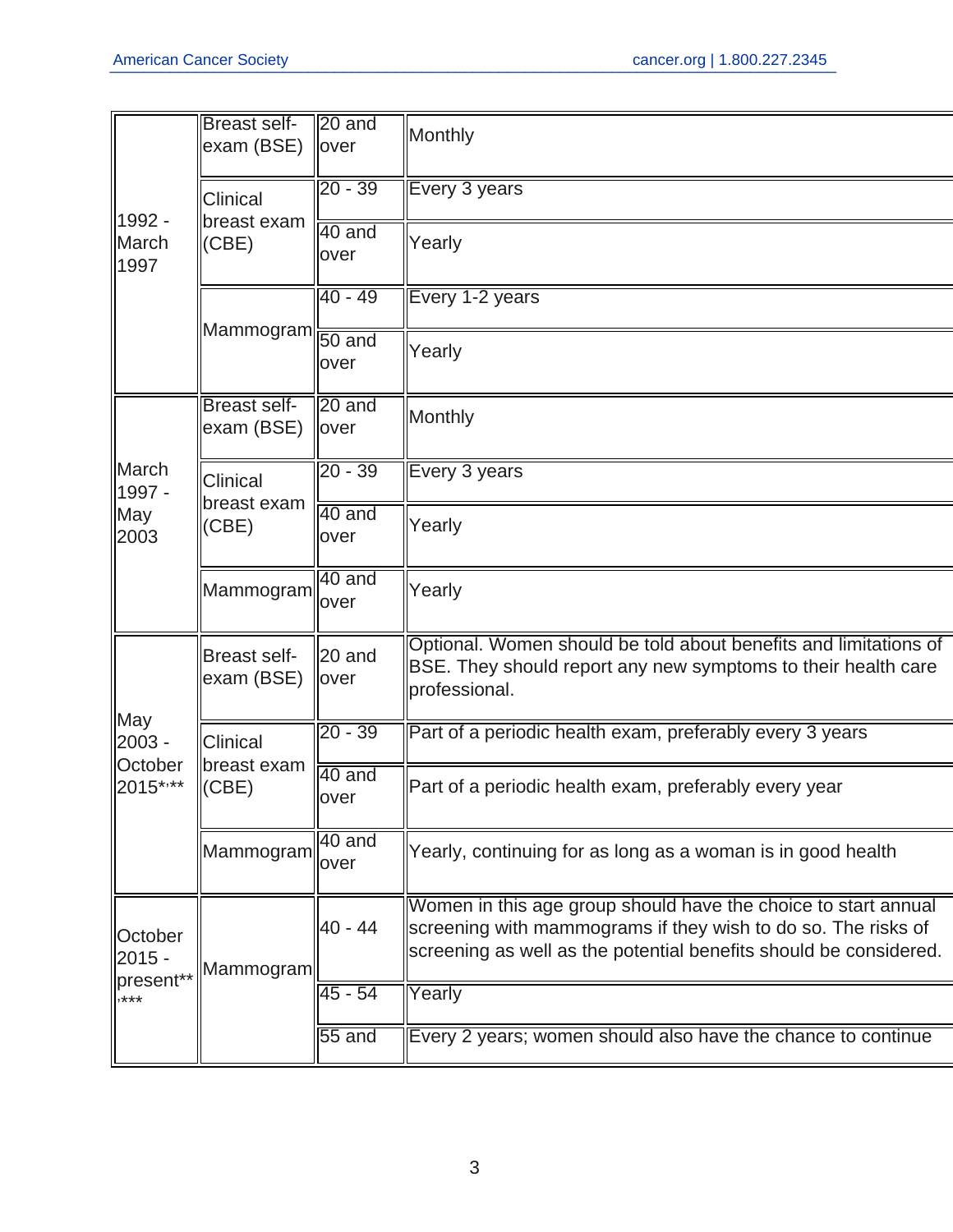|                                       | <b>Breast self-</b><br>exam (BSE) | $\vert$ 20 and<br>lover    | Monthly                                                                                                                                                                                              |
|---------------------------------------|-----------------------------------|----------------------------|------------------------------------------------------------------------------------------------------------------------------------------------------------------------------------------------------|
|                                       | Clinical                          | $20 - 39$                  | Every 3 years                                                                                                                                                                                        |
| 1992 -<br>March<br>1997               | breast exam<br>(CBE)              | 40 and<br>over             | Yearly                                                                                                                                                                                               |
|                                       |                                   | $40 - 49$                  | Every 1-2 years                                                                                                                                                                                      |
|                                       | Mammogram  <del>60 and</del>      | over                       | Yearly                                                                                                                                                                                               |
|                                       | <b>Breast self-</b><br>exam (BSE) | 20 and<br>over             | Monthly                                                                                                                                                                                              |
| March<br>1997 -                       | <b>Clinical</b>                   | $20 - 39$                  | Every 3 years                                                                                                                                                                                        |
| May<br>2003                           | breast exam<br>(CBE)              | 40 and<br>over             | Yearly                                                                                                                                                                                               |
|                                       | Mammogram                         | 40 and<br>over             | Yearly                                                                                                                                                                                               |
|                                       | <b>Breast self-</b><br>exam (BSE) | $ 20 \text{ and }$<br>over | Optional. Women should be told about benefits and limitations of<br>BSE. They should report any new symptoms to their health care<br>professional.                                                   |
| May<br>2003 -                         | Clinical<br>breast exam<br>(CBE)  | $20 - 39$                  | Part of a periodic health exam, preferably every 3 years                                                                                                                                             |
| October<br>2015****                   |                                   | 40 and<br>over             | Part of a periodic health exam, preferably every year                                                                                                                                                |
|                                       | Mammogram                         | 40 and<br>over             | Yearly, continuing for as long as a woman is in good health                                                                                                                                          |
| October<br>2015 -<br>present**<br>*** | Mammogram                         | $40 - 44$                  | Women in this age group should have the choice to start annual<br>screening with mammograms if they wish to do so. The risks of<br>screening as well as the potential benefits should be considered. |
|                                       |                                   | $45 - 54$                  | Yearly                                                                                                                                                                                               |
|                                       |                                   | 55 and                     | Every 2 years; women should also have the chance to continue                                                                                                                                         |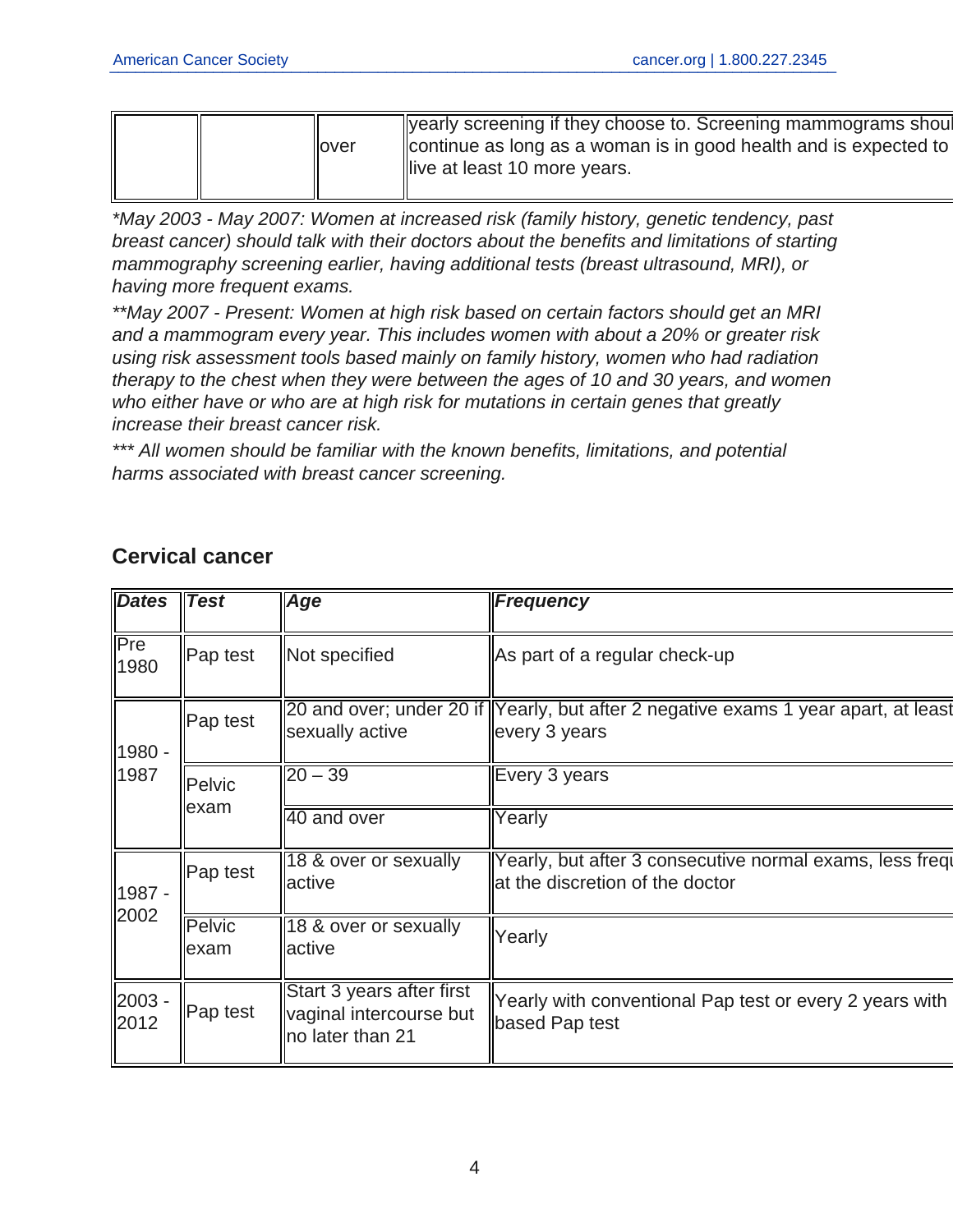| llover | Vearly screening if they choose to. Screening mammograms shoul<br>continue as long as a woman is in good health and is expected to<br>llive at least 10 more years. |
|--------|---------------------------------------------------------------------------------------------------------------------------------------------------------------------|
|--------|---------------------------------------------------------------------------------------------------------------------------------------------------------------------|

\*May 2003 - May 2007: Women at increased risk (family history, genetic tendency, past breast cancer) should talk with their doctors about the benefits and limitations of starting mammography screening earlier, having additional tests (breast ultrasound, MRI), or having more frequent exams.

\*\*May 2007 - Present: Women at high risk based on certain factors should get an MRI and a mammogram every year. This includes women with about a 20% or greater risk using risk assessment tools based mainly on family history, women who had radiation therapy to the chest when they were between the ages of 10 and 30 years, and women who either have or who are at high risk for mutations in certain genes that greatly increase their breast cancer risk.

\*\*\* All women should be familiar with the known benefits, limitations, and potential harms associated with breast cancer screening.

| <b>Dates</b>            | <b>Test</b>                                        | Age                                                                      | <b>Frequency</b>                                                                                    |
|-------------------------|----------------------------------------------------|--------------------------------------------------------------------------|-----------------------------------------------------------------------------------------------------|
| Pre<br>1980             | Pap test                                           | Not specified                                                            | As part of a regular check-up                                                                       |
| 1980 -                  | Pap test                                           | sexually active                                                          | 20 and over; under 20 if Yearly, but after 2 negative exams 1 year apart, at least<br>every 3 years |
| 1987<br>Pelvic<br>lexam |                                                    | $\overline{20 - 39}$<br>40 and over                                      | Every 3 years<br>Yearly                                                                             |
| 1987 -                  | Pap test                                           | 18 & over or sexually<br>lactive                                         | Yearly, but after 3 consecutive normal exams, less frequ<br>at the discretion of the doctor         |
| 2002                    | Pelvic<br>18 & over or sexually<br>active<br>lexam |                                                                          | Yearly                                                                                              |
| 2003 -<br>2012          | Pap test                                           | Start 3 years after first<br>vaginal intercourse but<br>no later than 21 | Yearly with conventional Pap test or every 2 years with<br>based Pap test                           |

### **Cervical cancer**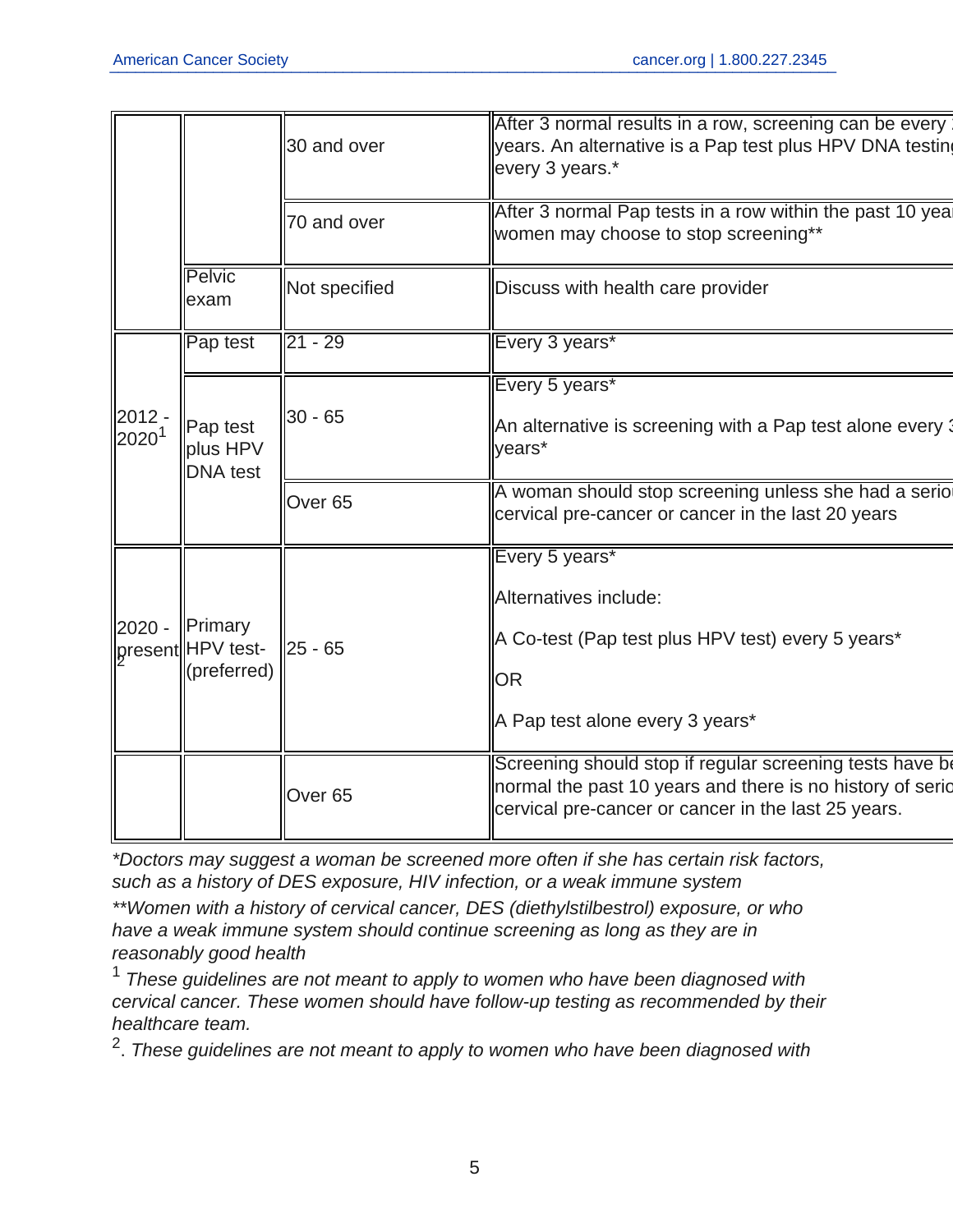|                        |                                                    | 30 and over        | After 3 normal results in a row, screening can be every<br>vears. An alternative is a Pap test plus HPV DNA testing<br>every 3 years.*                                       |
|------------------------|----------------------------------------------------|--------------------|------------------------------------------------------------------------------------------------------------------------------------------------------------------------------|
|                        |                                                    | 70 and over        | After 3 normal Pap tests in a row within the past 10 yea<br>women may choose to stop screening**                                                                             |
|                        | <b>Pelvic</b><br>exam                              | Not specified      | Discuss with health care provider                                                                                                                                            |
|                        | Pap test                                           | $21 - 29$          | Every 3 years*                                                                                                                                                               |
| $2012 -$<br>$2020^{1}$ | Pap test<br>plus HPV<br><b>DNA</b> test            | $30 - 65$          | Every 5 years*<br>An alternative is screening with a Pap test alone every 3<br>years*                                                                                        |
|                        |                                                    | Over <sub>65</sub> | A woman should stop screening unless she had a serio<br>cervical pre-cancer or cancer in the last 20 years                                                                   |
| $2020 -$               | <b>Primary</b><br>present HPV test-<br>(preferred) | 25 - 65            | Every 5 years*<br>Alternatives include:<br>A Co-test (Pap test plus HPV test) every 5 years*<br><b>OR</b><br>A Pap test alone every 3 years*                                 |
|                        |                                                    | Over <sub>65</sub> | Screening should stop if regular screening tests have be<br>normal the past 10 years and there is no history of seric<br>cervical pre-cancer or cancer in the last 25 years. |
|                        |                                                    |                    |                                                                                                                                                                              |

\*Doctors may suggest a woman be screened more often if she has certain risk factors, such as a history of DES exposure, HIV infection, or a weak immune system

\*\*Women with a history of cervical cancer, DES (diethylstilbestrol) exposure, or who have a weak immune system should continue screening as long as they are in reasonably good health

 $1$  These guidelines are not meant to apply to women who have been diagnosed with cervical cancer. These women should have follow-up testing as recommended by their healthcare team.

 $^2$ . These guidelines are not meant to apply to women who have been diagnosed with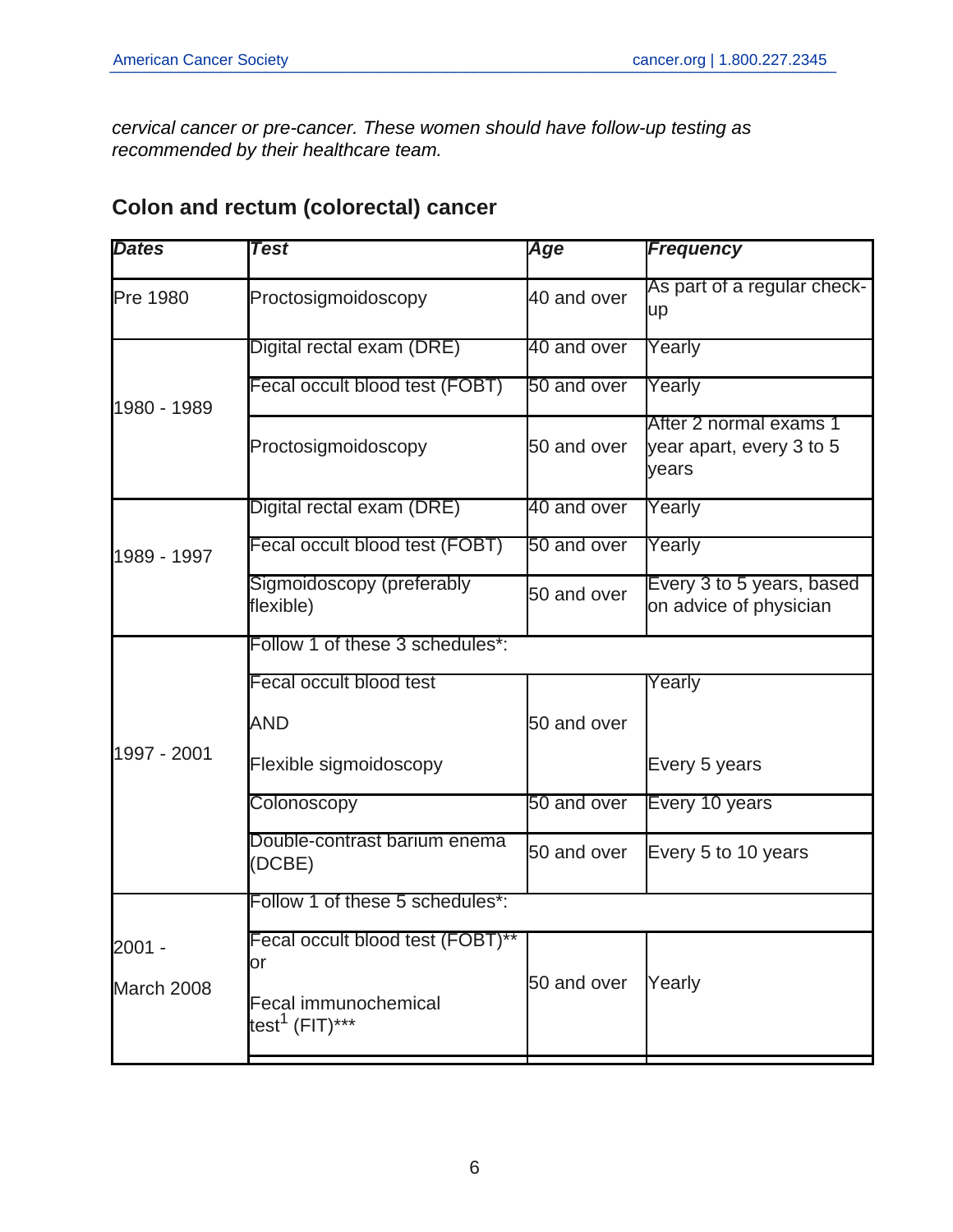cervical cancer or pre-cancer. These women should have follow-up testing as recommended by their healthcare team.

## **Colon and rectum (colorectal) cancer**

| <b>Dates</b> | <b>Test</b>                                               | Age         | <b>Frequency</b>                                            |
|--------------|-----------------------------------------------------------|-------------|-------------------------------------------------------------|
| Pre 1980     | Proctosigmoidoscopy                                       | 40 and over | As part of a regular check-<br>up                           |
|              | Digital rectal exam (DRE)                                 | 40 and over | Yearly                                                      |
| 1980 - 1989  | Fecal occult blood test (FOBT)                            | 50 and over | Yearly                                                      |
|              | Proctosigmoidoscopy                                       | 50 and over | After 2 normal exams 1<br>year apart, every 3 to 5<br>years |
|              | Digital rectal exam (DRE)                                 | 40 and over | Yearly                                                      |
| 1989 - 1997  | Fecal occult blood test (FOBT)                            | 50 and over | Yearly                                                      |
|              | Sigmoidoscopy (preferably<br>flexible)                    | 50 and over | Every 3 to 5 years, based<br>on advice of physician         |
|              | Follow 1 of these 3 schedules*:                           |             |                                                             |
|              | Fecal occult blood test                                   |             | Yearly                                                      |
|              | <b>AND</b>                                                | 50 and over |                                                             |
| 1997 - 2001  | Flexible sigmoidoscopy                                    |             | Every 5 years                                               |
|              | Colonoscopy                                               | 50 and over | Every 10 years                                              |
|              | Double-contrast barium enema<br>(DCBE)                    | 50 and over | Every 5 to 10 years                                         |
|              | Follow 1 of these 5 schedules*:                           |             |                                                             |
| 2001 -       | Fecal occult blood test (FOBT)**<br>or                    |             |                                                             |
| March 2008   | <b>Fecal immunochemical</b><br>test <sup>1</sup> (FIT)*** | 50 and over | Yearly                                                      |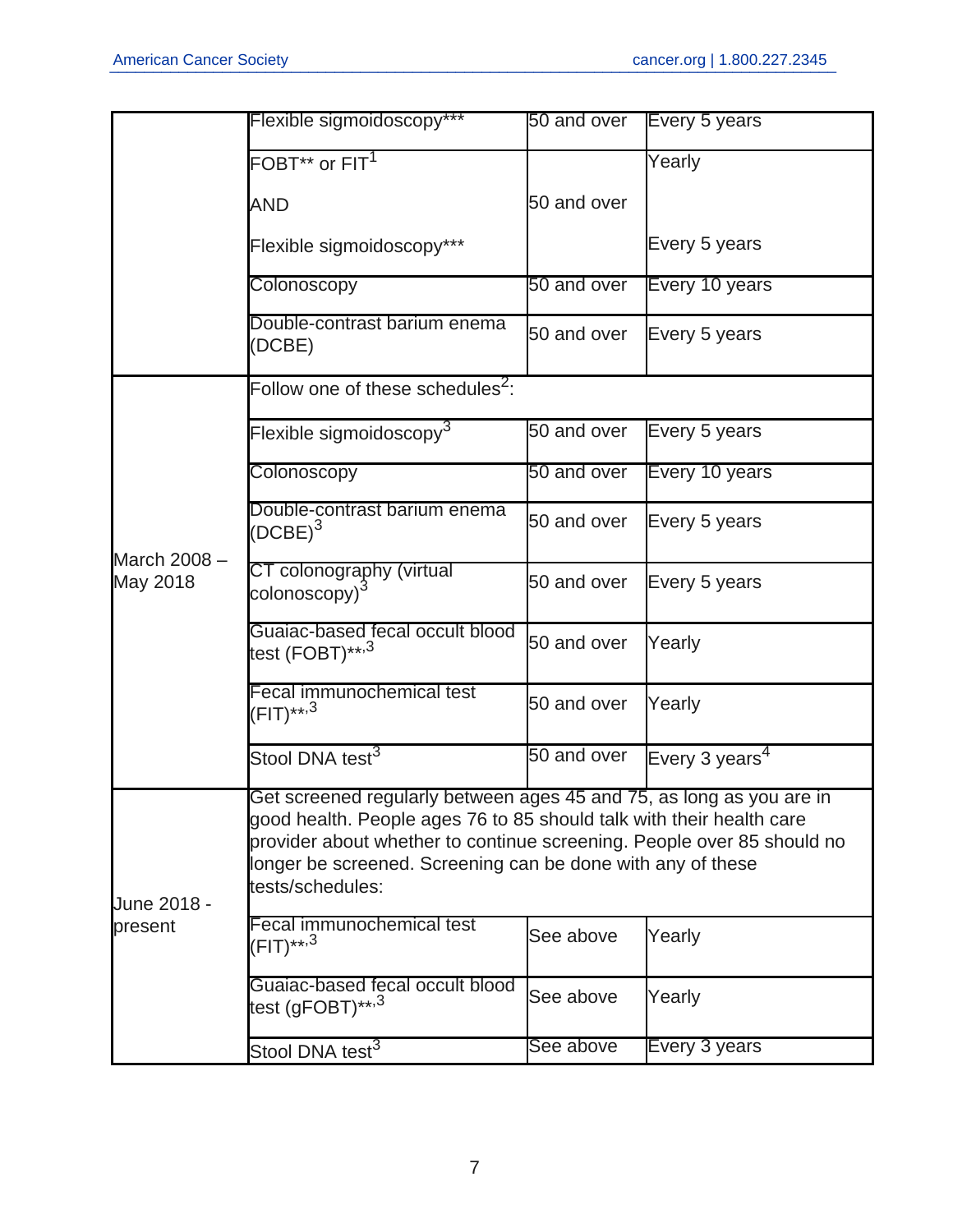|                          | Flexible sigmoidoscopy***                                                                                                                                                                                                                                                                                 | 50 and over | Every 5 years              |
|--------------------------|-----------------------------------------------------------------------------------------------------------------------------------------------------------------------------------------------------------------------------------------------------------------------------------------------------------|-------------|----------------------------|
|                          | $FOBT^{**}$ or $FIT^1$                                                                                                                                                                                                                                                                                    |             | Yearly                     |
|                          | <b>AND</b>                                                                                                                                                                                                                                                                                                | 50 and over |                            |
|                          | Flexible sigmoidoscopy***                                                                                                                                                                                                                                                                                 |             | Every 5 years              |
|                          | Colonoscopy                                                                                                                                                                                                                                                                                               | 50 and over | Every 10 years             |
|                          | Double-contrast barium enema<br>(DCBE)                                                                                                                                                                                                                                                                    | 50 and over | Every 5 years              |
|                          | Follow one of these schedules <sup>2</sup> :                                                                                                                                                                                                                                                              |             |                            |
|                          | Flexible sigmoidoscopy $3$                                                                                                                                                                                                                                                                                | 50 and over | Every 5 years              |
|                          | Colonoscopy                                                                                                                                                                                                                                                                                               | 50 and over | Every 10 years             |
|                          | Double-contrast barium enema<br>$(DCBE)^3$                                                                                                                                                                                                                                                                | 50 and over | Every 5 years              |
| March 2008 -<br>May 2018 | CT colonography (virtual<br>colonoscopy)                                                                                                                                                                                                                                                                  | 50 and over | Every 5 years              |
|                          | Guaiac-based fecal occult blood<br>test (FOBT)** <sup>,3</sup>                                                                                                                                                                                                                                            | 50 and over | Yearly                     |
|                          | Fecal immunochemical test<br>(FIT)** <sup>,3</sup>                                                                                                                                                                                                                                                        | 50 and over | Yearly                     |
|                          | Stool DNA test <sup>3</sup>                                                                                                                                                                                                                                                                               | 50 and over | Every 3 years <sup>4</sup> |
| June 2018 -              | Get screened regularly between ages 45 and 75, as long as you are in<br>good health. People ages 76 to 85 should talk with their health care<br>provider about whether to continue screening. People over 85 should no<br>longer be screened. Screening can be done with any of these<br>tests/schedules: |             |                            |
| present                  | Fecal immunochemical test<br>(FIT)** <sup>,3</sup>                                                                                                                                                                                                                                                        | See above   | Yearly                     |
|                          | Guaiac-based fecal occult blood<br>test (gFOBT)** <sup>,3</sup>                                                                                                                                                                                                                                           | See above   | Yearly                     |
|                          | Stool DNA test <sup>3</sup>                                                                                                                                                                                                                                                                               | See above   | Every 3 years              |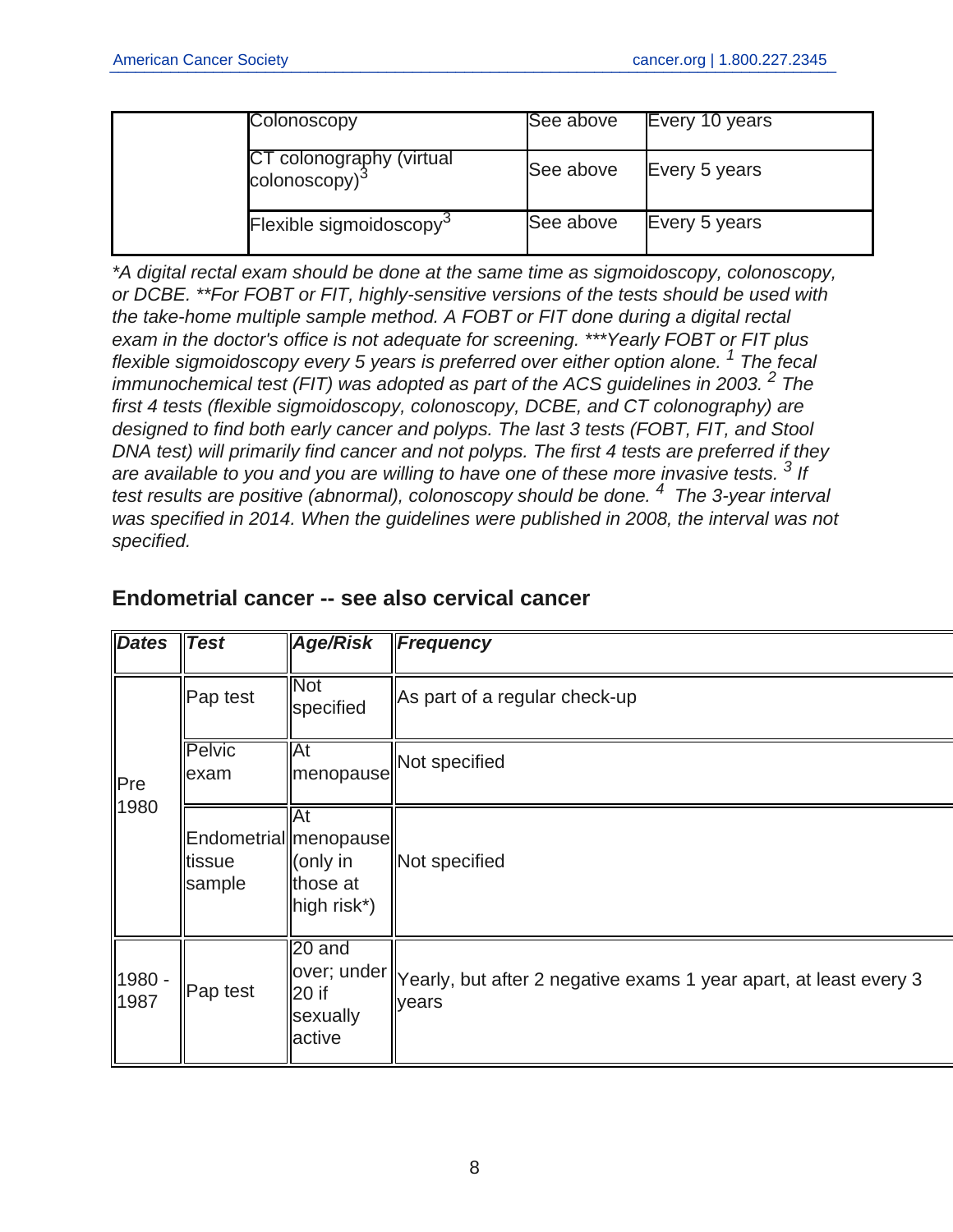| Colonoscopy                                           | See above | Every 10 years |
|-------------------------------------------------------|-----------|----------------|
| CT colonography (virtual<br>colonoscopy) <sup>3</sup> | See above | Every 5 years  |
| Flexible sigmoidoscopy <sup>3</sup>                   | See above | Every 5 years  |

\*A digital rectal exam should be done at the same time as sigmoidoscopy, colonoscopy, or DCBE. \*\*For FOBT or FIT, highly-sensitive versions of the tests should be used with the take-home multiple sample method. A FOBT or FIT done during a digital rectal exam in the doctor's office is not adequate for screening. \*\*\*Yearly FOBT or FIT plus flexible sigmoidoscopy every 5 years is preferred over either option alone.<sup>1</sup> The fecal immunochemical test (FIT) was adopted as part of the ACS guidelines in 2003.  $2$  The first 4 tests (flexible sigmoidoscopy, colonoscopy, DCBE, and CT colonography) are designed to find both early cancer and polyps. The last 3 tests (FOBT, FIT, and Stool DNA test) will primarily find cancer and not polyps. The first 4 tests are preferred if they are available to you and you are willing to have one of these more invasive tests.  $3$  If test results are positive (abnormal), colonoscopy should be done. <sup>4</sup> The 3-year interval was specified in 2014. When the guidelines were published in 2008, the interval was not specified.

| <b>Dates</b>   | <b>Test</b>           | Age/Risk                                                                                   | <b>Frequency</b>                                                                                                      |
|----------------|-----------------------|--------------------------------------------------------------------------------------------|-----------------------------------------------------------------------------------------------------------------------|
|                | Pap test              | <b>Not</b><br>specified                                                                    | As part of a regular check-up                                                                                         |
| Pre<br>1980    | <b>Pelvic</b><br>exam | <b>At</b><br>  menopause                                                                   | Not specified                                                                                                         |
|                | tissue<br>sample      | <b>At</b><br>Endometrial   menopause  <br>$\parallel$ (only in<br>∥those at<br>high risk*) | Not specified                                                                                                         |
| 1980 -<br>1987 | Pap test              | $\sqrt{20}$ and<br>$ 20$ if<br>sexually<br>active                                          | $\parallel$ over; under $\parallel$ Yearly, but after 2 negative exams 1 year apart, at least every 3<br><b>years</b> |

#### **Endometrial cancer -- see also cervical cancer**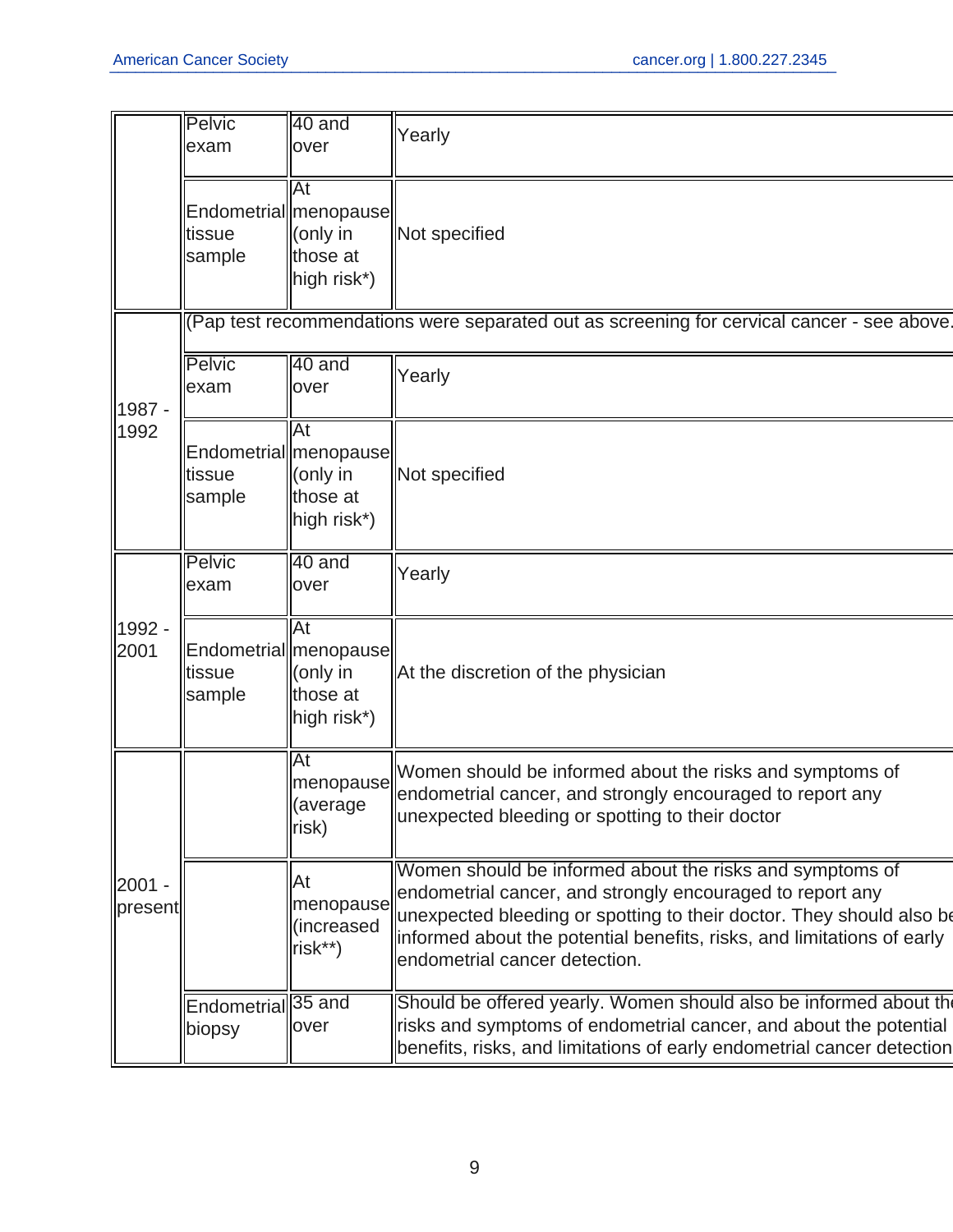|                   | Pelvic<br>exam                          | 40 and<br>over                                                        | Yearly                                                                                                                                                                                                                                                                                                   |
|-------------------|-----------------------------------------|-----------------------------------------------------------------------|----------------------------------------------------------------------------------------------------------------------------------------------------------------------------------------------------------------------------------------------------------------------------------------------------------|
|                   | tissue<br>sample                        | At<br>Endometrial  menopause  <br>(only in<br>those at<br>high risk*) | Not specified                                                                                                                                                                                                                                                                                            |
|                   |                                         |                                                                       | (Pap test recommendations were separated out as screening for cervical cancer - see above.                                                                                                                                                                                                               |
| 1987 -            | <b>Pelvic</b><br>exam                   | 40 and<br>over                                                        | Yearly                                                                                                                                                                                                                                                                                                   |
| 1992              | tissue<br>sample                        | At<br>Endometrial  menopause  <br>(only in<br>those at<br>high risk*) | Not specified                                                                                                                                                                                                                                                                                            |
|                   | <b>Pelvic</b><br>lexam                  | 40 and<br>over                                                        | Yearly                                                                                                                                                                                                                                                                                                   |
| 1992 -<br>2001    | tissue<br>sample                        | At<br>Endometrial  menopause  <br>(only in<br>those at<br>high risk*) | At the discretion of the physician                                                                                                                                                                                                                                                                       |
|                   |                                         | At<br>menopause<br>(average<br> risk)                                 | Women should be informed about the risks and symptoms of<br>endometrial cancer, and strongly encouraged to report any<br>unexpected bleeding or spotting to their doctor                                                                                                                                 |
| 2001 -<br>present |                                         | At<br>menopause<br>(increased<br>risk**)                              | Women should be informed about the risks and symptoms of<br>endometrial cancer, and strongly encouraged to report any<br>unexpected bleeding or spotting to their doctor. They should also be<br>informed about the potential benefits, risks, and limitations of early<br>endometrial cancer detection. |
|                   | Endometrial <sup>35</sup> and<br>biopsy | over                                                                  | Should be offered yearly. Women should also be informed about the<br>risks and symptoms of endometrial cancer, and about the potential<br>benefits, risks, and limitations of early endometrial cancer detection                                                                                         |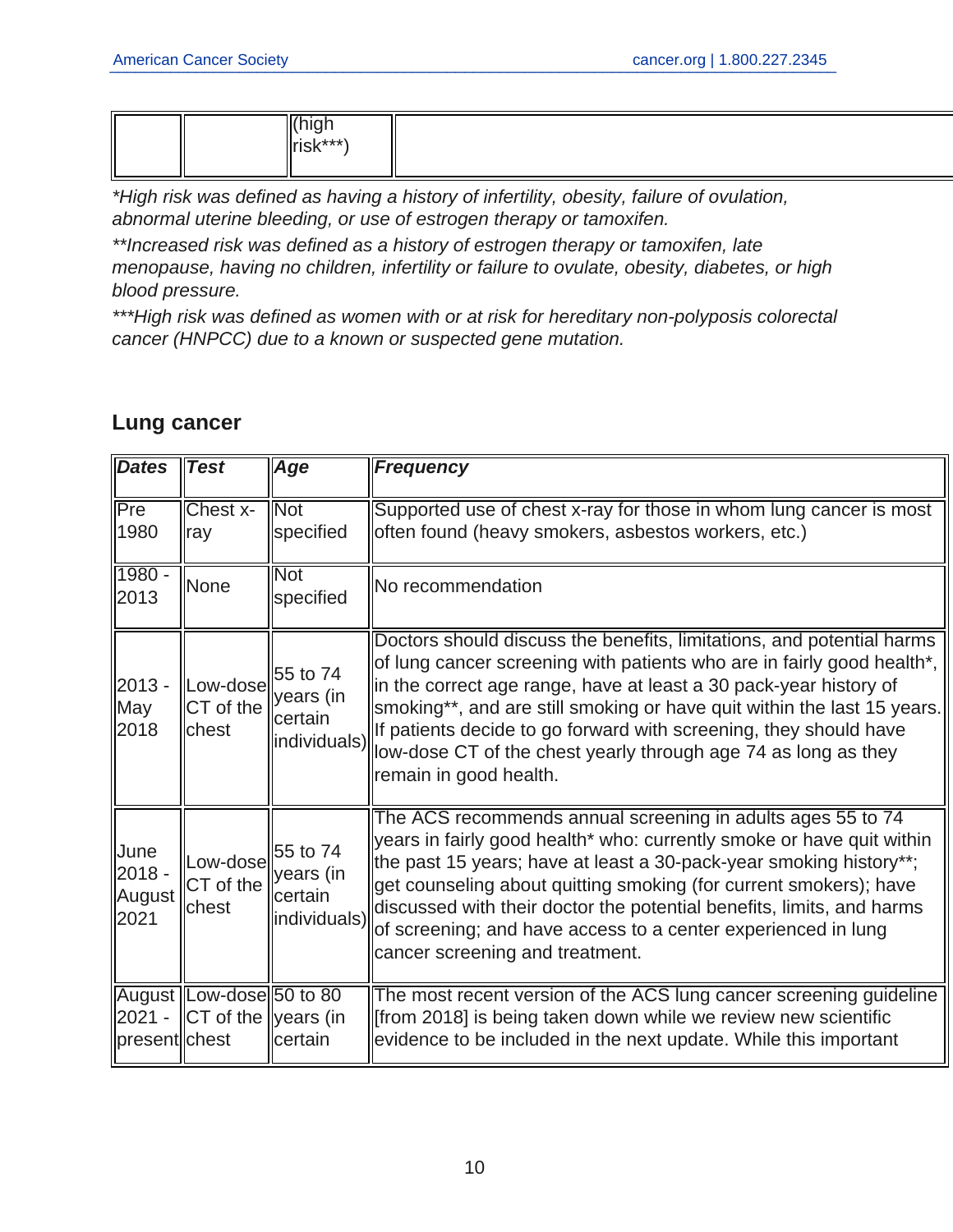|--|--|

\*High risk was defined as having a history of infertility, obesity, failure of ovulation, abnormal uterine bleeding, or use of estrogen therapy or tamoxifen.

\*\*Increased risk was defined as a history of estrogen therapy or tamoxifen, late menopause, having no children, infertility or failure to ovulate, obesity, diabetes, or high blood pressure.

\*\*\*High risk was defined as women with or at risk for hereditary non-polyposis colorectal cancer (HNPCC) due to a known or suspected gene mutation.

| <b>Dates</b>                       | <b>Test</b>                                              | Age                                               | <b>Frequency</b>                                                                                                                                                                                                                                                                                                                                                                                                                                                 |
|------------------------------------|----------------------------------------------------------|---------------------------------------------------|------------------------------------------------------------------------------------------------------------------------------------------------------------------------------------------------------------------------------------------------------------------------------------------------------------------------------------------------------------------------------------------------------------------------------------------------------------------|
| Pre<br>1980                        | Chest x-<br><b>ray</b>                                   | <b>Not</b><br>specified                           | Supported use of chest x-ray for those in whom lung cancer is most<br>often found (heavy smokers, asbestos workers, etc.)                                                                                                                                                                                                                                                                                                                                        |
| $1980 -$<br>2013                   | None                                                     | <b>Not</b><br>specified                           | No recommendation                                                                                                                                                                                                                                                                                                                                                                                                                                                |
| $2013 -$<br>May<br>2018            | Low-dose<br>CT of the<br>chest                           | 55 to 74<br>years (in<br>lcertain<br>individuals) | Doctors should discuss the benefits, limitations, and potential harms<br>of lung cancer screening with patients who are in fairly good health*,<br>in the correct age range, have at least a 30 pack-year history of<br>smoking**, and are still smoking or have quit within the last 15 years.<br>If patients decide to go forward with screening, they should have<br>low-dose CT of the chest yearly through age 74 as long as they<br>remain in good health. |
| June<br>$2018 -$<br>August<br>2021 | Low-dose<br>CT of the<br>lchest                          | 55 to 74<br>years (in<br>lcertain<br>individuals) | The ACS recommends annual screening in adults ages 55 to 74<br>years in fairly good health* who: currently smoke or have quit within<br>the past 15 years; have at least a 30-pack-year smoking history**;<br>get counseling about quitting smoking (for current smokers); have<br>discussed with their doctor the potential benefits, limits, and harms<br>of screening; and have access to a center experienced in lung<br>cancer screening and treatment.     |
| $2021 -$<br>present chest          | August Low-dose 50 to 80<br>$\ CT\$ of the $\ year\$ (in | certain                                           | The most recent version of the ACS lung cancer screening guideline<br>from 2018] is being taken down while we review new scientific<br>evidence to be included in the next update. While this important                                                                                                                                                                                                                                                          |

#### **Lung cancer**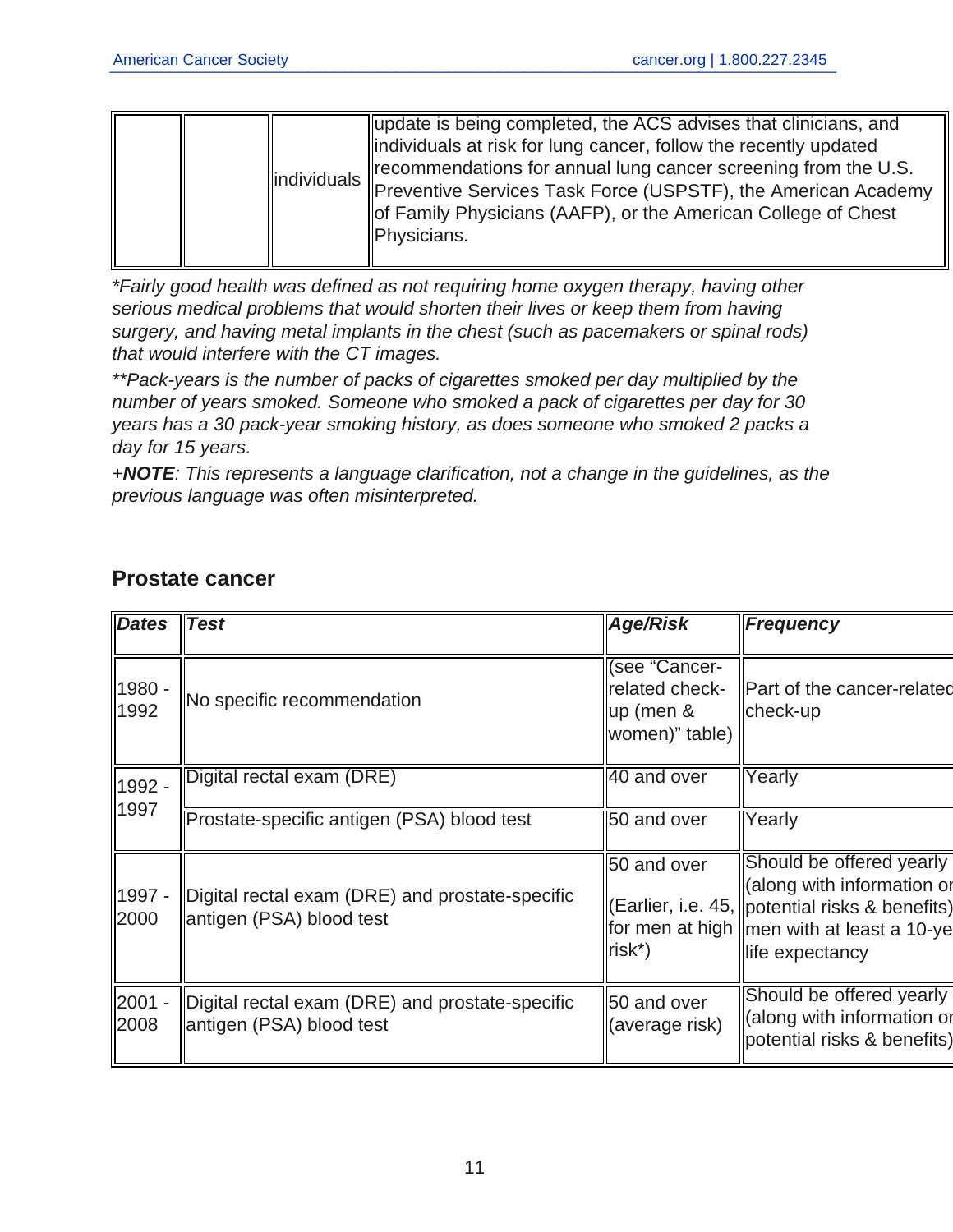|  |  |  | update is being completed, the ACS advises that clinicians, and<br>lindividuals at risk for lung cancer, follow the recently updated<br>Trecommendations for annual lung cancer screening from the U.S.<br>  individuals    Economic Russian is a material of USPSTF), the American Academy<br>of Family Physicians (AAFP), or the American College of Chest<br>Physicians. |
|--|--|--|-----------------------------------------------------------------------------------------------------------------------------------------------------------------------------------------------------------------------------------------------------------------------------------------------------------------------------------------------------------------------------|
|--|--|--|-----------------------------------------------------------------------------------------------------------------------------------------------------------------------------------------------------------------------------------------------------------------------------------------------------------------------------------------------------------------------------|

\*Fairly good health was defined as not requiring home oxygen therapy, having other serious medical problems that would shorten their lives or keep them from having surgery, and having metal implants in the chest (such as pacemakers or spinal rods) that would interfere with the CT images.

\*\*Pack-years is the number of packs of cigarettes smoked per day multiplied by the number of years smoked. Someone who smoked a pack of cigarettes per day for 30 years has a 30 pack-year smoking history, as does someone who smoked 2 packs a day for 15 years.

+**NOTE**: This represents a language clarification, not a change in the guidelines, as the previous language was often misinterpreted.

| <b>Dates</b>   | Test                                                                        | <b>Age/Risk</b>                                                     | <b>Frequency</b>                                                                                                                                                             |
|----------------|-----------------------------------------------------------------------------|---------------------------------------------------------------------|------------------------------------------------------------------------------------------------------------------------------------------------------------------------------|
| 1980 -<br>1992 | No specific recommendation                                                  | (see "Cancer-<br>related check-<br>$\mu$ p (men &<br>women)" table) | Part of the cancer-related<br>check-up                                                                                                                                       |
| 1992 -<br>1997 | Digital rectal exam (DRE)                                                   | 40 and over                                                         | Yearly                                                                                                                                                                       |
|                | Prostate-specific antigen (PSA) blood test                                  | 50 and over                                                         | Yearly                                                                                                                                                                       |
| 1997 -<br>2000 | Digital rectal exam (DRE) and prostate-specific<br>antigen (PSA) blood test | 50 and over<br>$\textsf{Irisk}^*$                                   | Should be offered yearly<br>(along with information or<br>(Earlier, i.e. 45,   potential risks & benefits)<br>for men at high   men with at least a 10-ye<br>life expectancy |
| 2001 -<br>2008 | Digital rectal exam (DRE) and prostate-specific<br>antigen (PSA) blood test | 50 and over<br>(average risk)                                       | Should be offered yearly<br>(along with information or<br>potential risks & benefits)                                                                                        |

#### **Prostate cancer**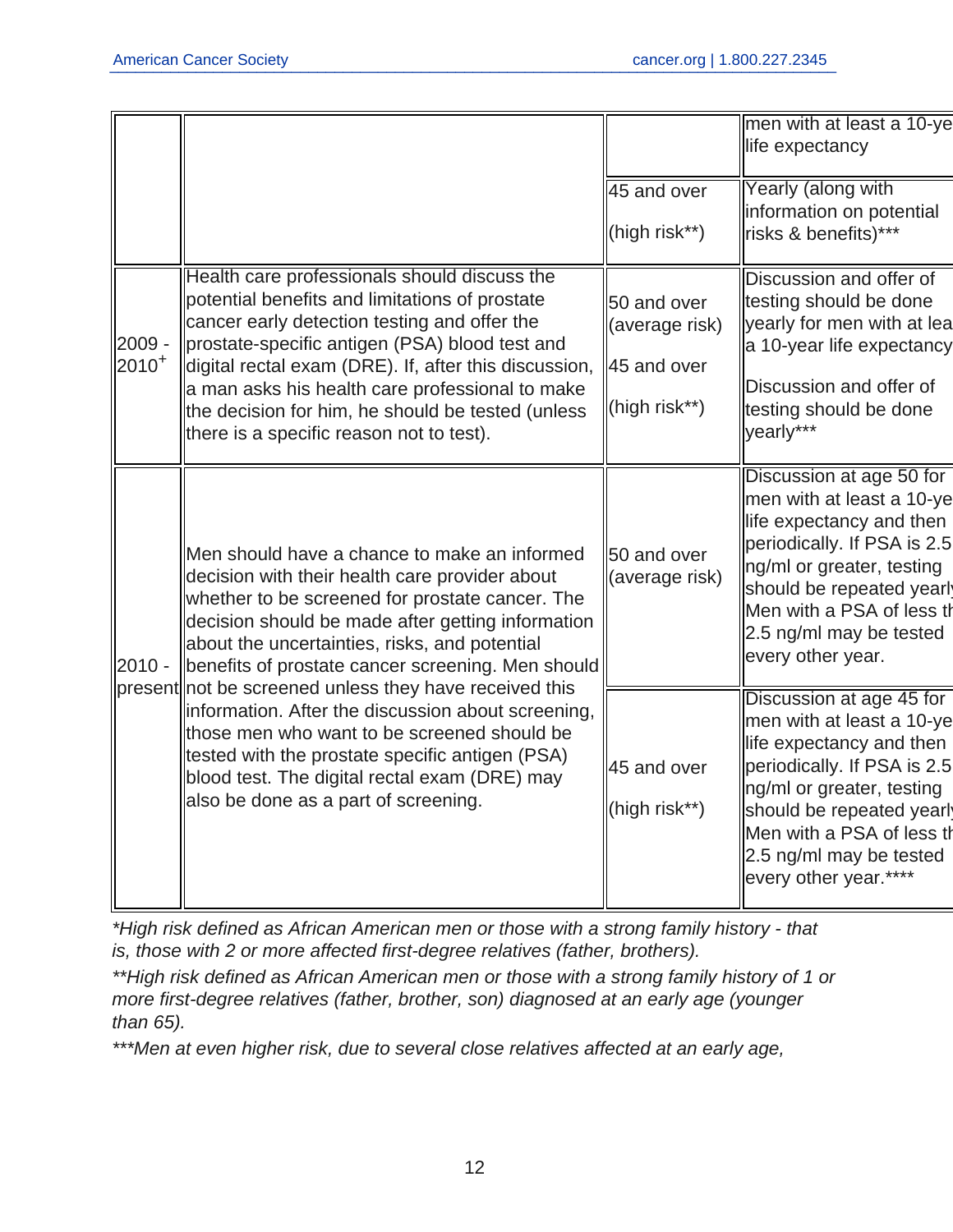|                      |                                                                                                                                                                                                                                                                                                                                                                                                                                                                                                                                                                                                                         |                                                               | men with at least a 10-ye<br>life expectancy                                                                                                                                                                                                               |
|----------------------|-------------------------------------------------------------------------------------------------------------------------------------------------------------------------------------------------------------------------------------------------------------------------------------------------------------------------------------------------------------------------------------------------------------------------------------------------------------------------------------------------------------------------------------------------------------------------------------------------------------------------|---------------------------------------------------------------|------------------------------------------------------------------------------------------------------------------------------------------------------------------------------------------------------------------------------------------------------------|
|                      |                                                                                                                                                                                                                                                                                                                                                                                                                                                                                                                                                                                                                         | 45 and over<br>(high risk**)                                  | Yearly (along with<br>information on potential<br>risks & benefits)***                                                                                                                                                                                     |
| 2009 -<br>$2010^{+}$ | Health care professionals should discuss the<br>potential benefits and limitations of prostate<br>cancer early detection testing and offer the<br>prostate-specific antigen (PSA) blood test and<br>digital rectal exam (DRE). If, after this discussion,<br>a man asks his health care professional to make<br>the decision for him, he should be tested (unless<br>there is a specific reason not to test).                                                                                                                                                                                                           | 50 and over<br>(average risk)<br>45 and over<br>(high risk**) | Discussion and offer of<br>testing should be done<br>yearly for men with at lea<br>a 10-year life expectancy<br>Discussion and offer of<br>testing should be done<br>yearly***                                                                             |
| $2010 -$             | Men should have a chance to make an informed<br>decision with their health care provider about<br>whether to be screened for prostate cancer. The<br>decision should be made after getting information<br>about the uncertainties, risks, and potential<br>benefits of prostate cancer screening. Men should<br>present not be screened unless they have received this<br>information. After the discussion about screening,<br>those men who want to be screened should be<br>tested with the prostate specific antigen (PSA)<br>blood test. The digital rectal exam (DRE) may<br>also be done as a part of screening. | 50 and over<br>(average risk)                                 | Discussion at age 50 for<br>men with at least a 10-ye<br>life expectancy and then<br>periodically. If PSA is 2.5<br>ng/ml or greater, testing<br>should be repeated yearl<br>Men with a PSA of less th<br>2.5 ng/ml may be tested<br>every other year.     |
|                      |                                                                                                                                                                                                                                                                                                                                                                                                                                                                                                                                                                                                                         | 45 and over<br>(high risk**)                                  | Discussion at age 45 for<br>men with at least a 10-ye<br>life expectancy and then<br>periodically. If PSA is 2.5<br>ng/ml or greater, testing<br>should be repeated yearl<br>Men with a PSA of less th<br>2.5 ng/ml may be tested<br>every other year.**** |

\*High risk defined as African American men or those with a strong family history - that is, those with 2 or more affected first-degree relatives (father, brothers).

\*\*High risk defined as African American men or those with a strong family history of 1 or more first-degree relatives (father, brother, son) diagnosed at an early age (younger than 65).

\*\*\*Men at even higher risk, due to several close relatives affected at an early age,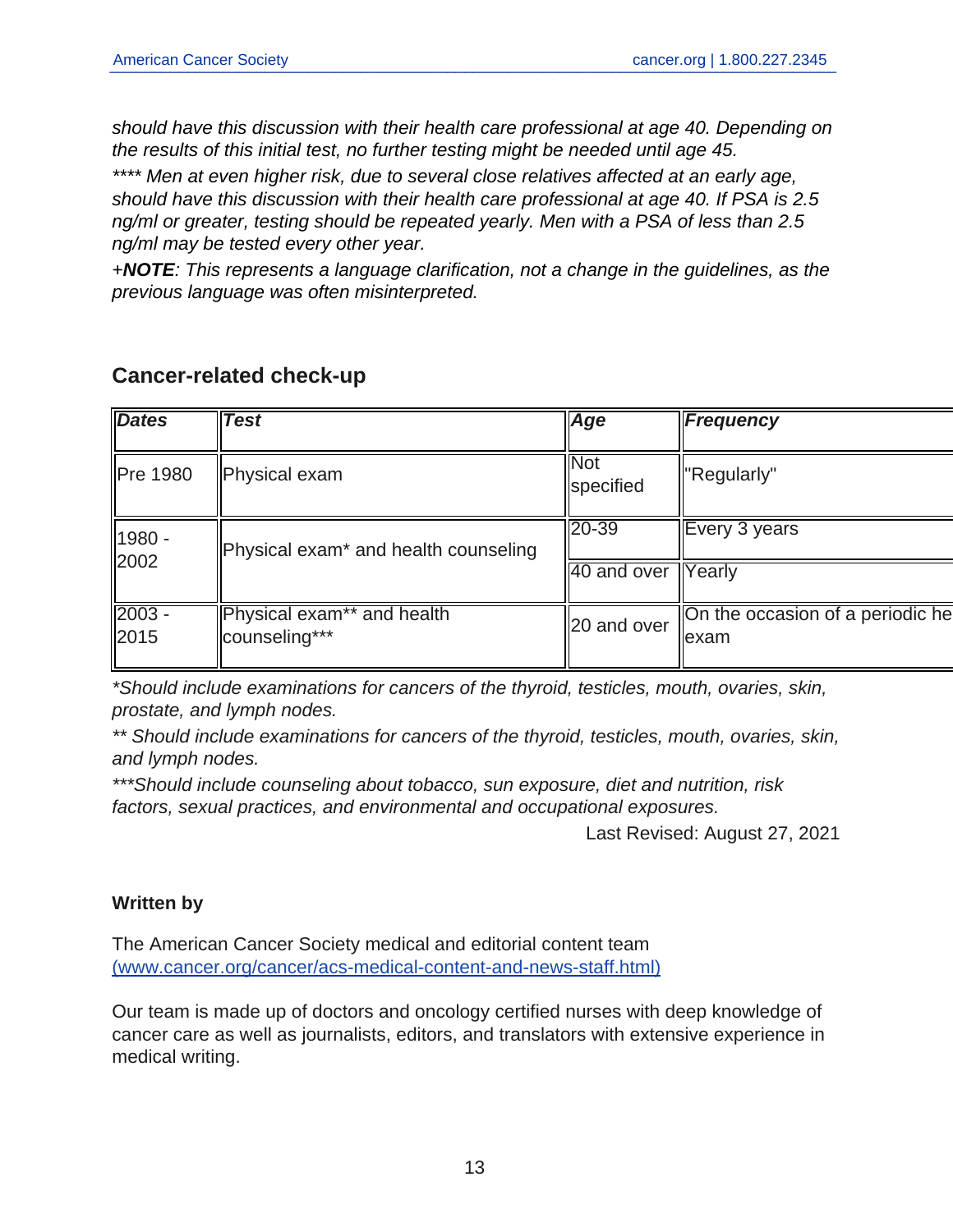should have this discussion with their health care professional at age 40. Depending on the results of this initial test, no further testing might be needed until age 45.

\*\*\*\* Men at even higher risk, due to several close relatives affected at an early age, should have this discussion with their health care professional at age 40. If PSA is 2.5 ng/ml or greater, testing should be repeated yearly. Men with a PSA of less than 2.5 ng/ml may be tested every other year.

+**NOTE**: This represents a language clarification, not a change in the guidelines, as the previous language was often misinterpreted.

| <b>Dates</b>     | <b>Test</b>                                      | Age                     | <b>Frequency</b>                           |
|------------------|--------------------------------------------------|-------------------------|--------------------------------------------|
| <b>Pre 1980</b>  | Physical exam                                    | <b>Not</b><br>specified | "Regularly"                                |
| 1980 -           | Physical exam <sup>*</sup> and health counseling | $20 - 39$               | Every 3 years                              |
| 2002             |                                                  | 40 and over             | Yearly                                     |
| $2003 -$<br>2015 | Physical exam** and health<br>counseling***      | 20 and over             | On the occasion of a periodic he<br>llexam |

#### **Cancer-related check-up**

\*Should include examinations for cancers of the thyroid, testicles, mouth, ovaries, skin, prostate, and lymph nodes.

\*\* Should include examinations for cancers of the thyroid, testicles, mouth, ovaries, skin, and lymph nodes.

\*\*\*Should include counseling about tobacco, sun exposure, diet and nutrition, risk factors, sexual practices, and environmental and occupational exposures.

Last Revised: August 27, 2021

#### **Written by**

The American Cancer Society medical and editorial content team [\(www.cancer.org/cancer/acs-medical-content-and-news-staff.html\)](https://www.cancer.org/cancer/acs-medical-content-and-news-staff.html)

Our team is made up of doctors and oncology certified nurses with deep knowledge of cancer care as well as journalists, editors, and translators with extensive experience in medical writing.